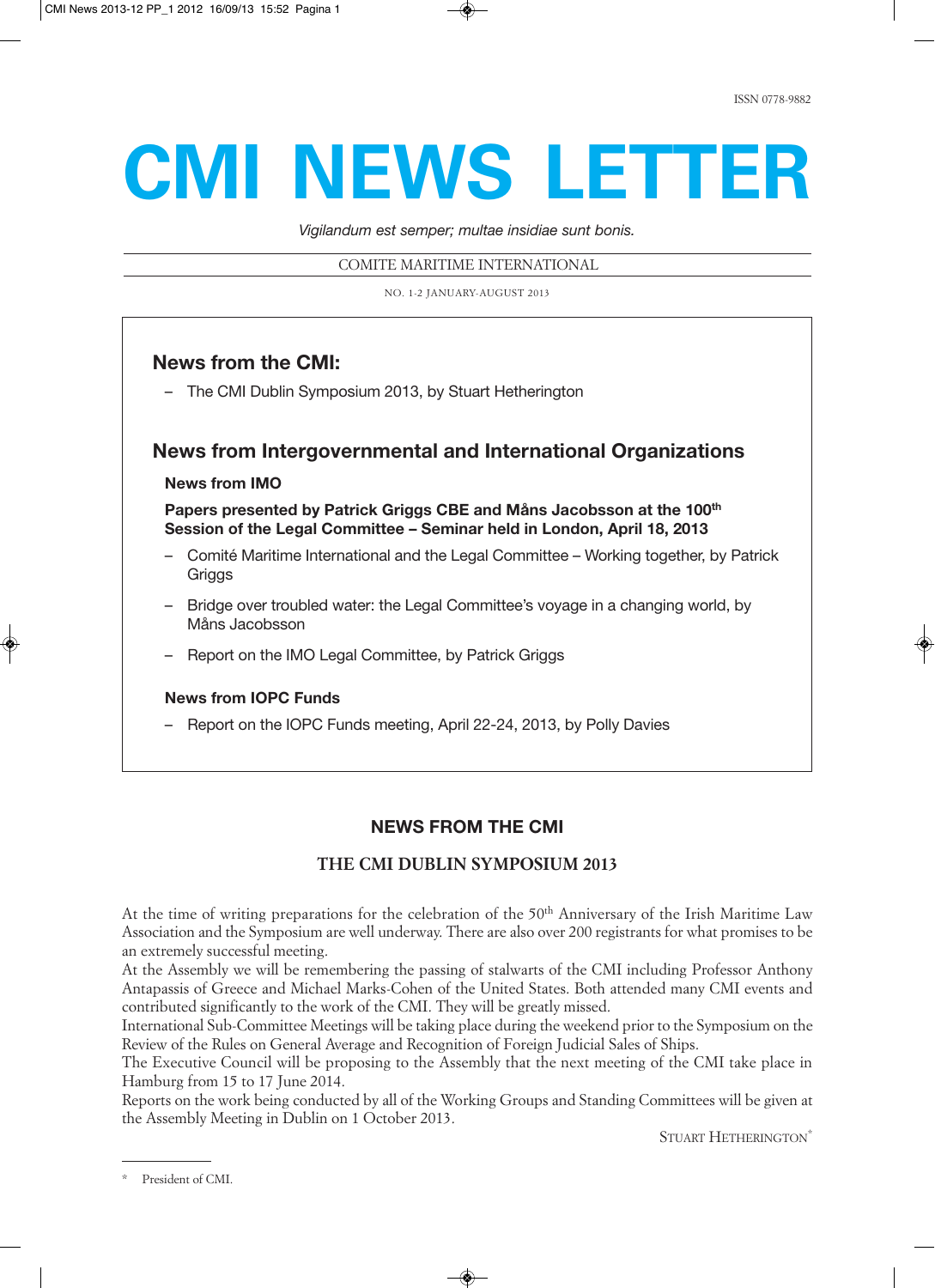# **CMI NEWS LETTER**

*Vigilandum est semper; multae insidiae sunt bonis.* 

COMITE MARITIME INTERNATIONAL

NO. 1-2 JANUARY-AUGUST 2013

# **News from the CMI:**

– The CMI Dublin Symposium 2013, by Stuart Hetherington

## **News from Intergovernmental and International Organizations**

## **News from IMO**

**Papers presented by Patrick Griggs CBE and Måns Jacobsson at the 100th Session of the Legal Committee – Seminar held in London, April 18, 2013**

- Comité Maritime International and the Legal Committee Working together, by Patrick **Griggs**
- Bridge over troubled water: the Legal Committee's voyage in a changing world, by Måns Jacobsson
- Report on the IMO Legal Committee, by Patrick Griggs

## **News from IOPC Funds**

– Report on the IOPC Funds meeting, April 22-24, 2013, by Polly Davies

# **NEWS FROM THE CMI**

## **THE CMI DUBLIN SYMPOSIUM 2013**

At the time of writing preparations for the celebration of the  $50<sup>th</sup>$  Anniversary of the Irish Maritime Law Association and the Symposium are well underway. There are also over 200 registrants for what promises to be an extremely successful meeting.

At the Assembly we will be remembering the passing of stalwarts of the CMI including Professor Anthony Antapassis of Greece and Michael Marks-Cohen of the United States. Both attended many CMI events and contributed significantly to the work of the CMI. They will be greatly missed.

International Sub-Committee Meetings will be taking place during the weekend prior to the Symposium on the Review of the Rules on General Average and Recognition of Foreign Judicial Sales of Ships.

The Executive Council will be proposing to the Assembly that the next meeting of the CMI take place in Hamburg from 15 to 17 June 2014.

Reports on the work being conducted by all of the Working Groups and Standing Committees will be given at the Assembly Meeting in Dublin on 1 October 2013.

STUART HETHERINGTON<sup>\*</sup>

<sup>\*</sup> President of CMI.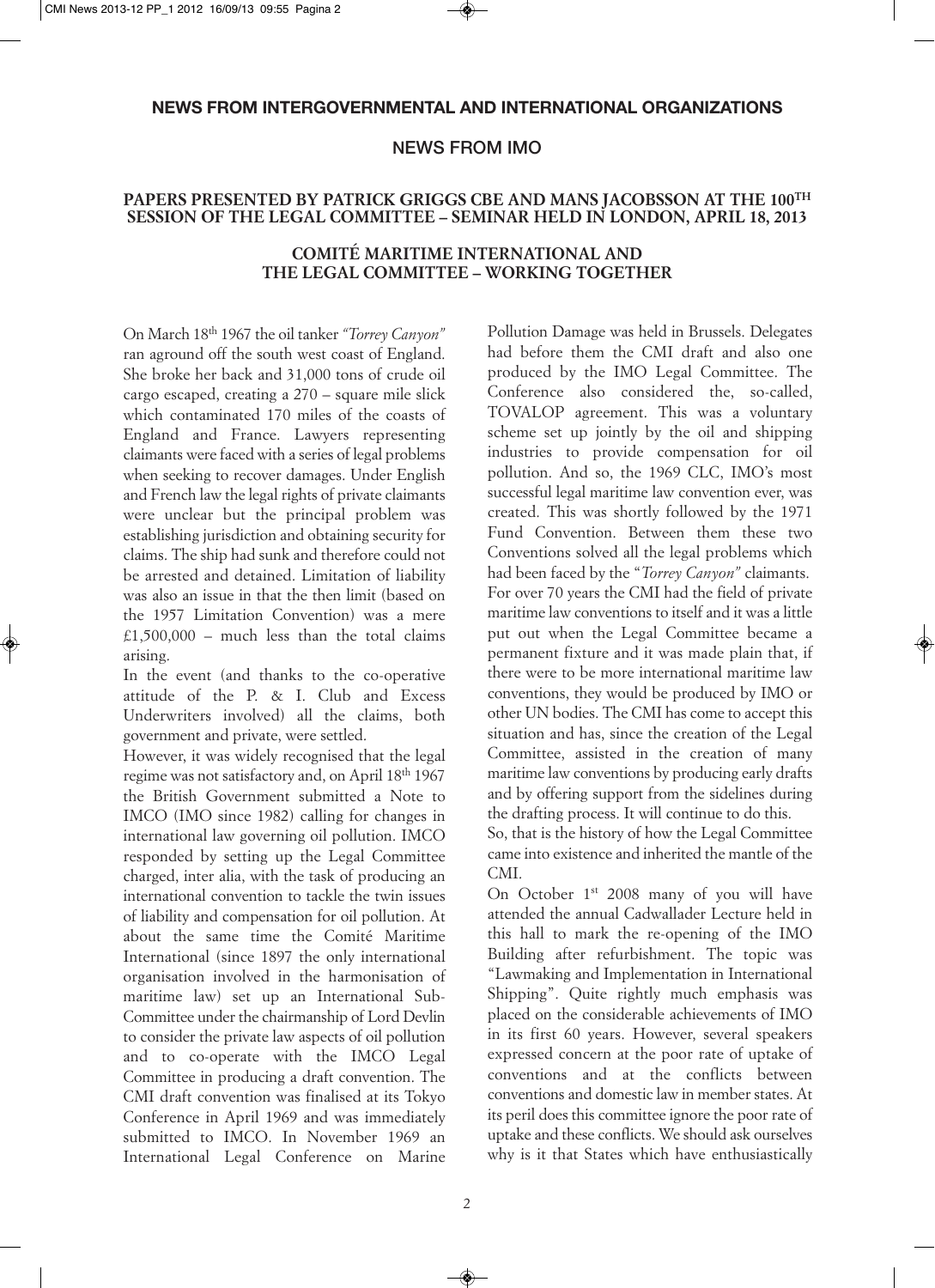## **NEWS FROM INTERGOVERNMENTAL AND INTERNATIONAL ORGANIZATIONS**

## **NEWS FROM IMO**

## **PAPERS PRESENTED BY PATRICK GRIGGS CBE AND MANS JACOBSSON AT THE 100TH SESSION OF THE LEGAL COMMITTEE – SEMINAR HELD IN LONDON, APRIL 18, 2013**

### **COMITÉ MARITIME INTERNATIONAL AND THE LEGAL COMMITTEE – WORKING TOGETHER**

On March 18th 1967 the oil tanker *"Torrey Canyon"* ran aground off the south west coast of England. She broke her back and 31,000 tons of crude oil cargo escaped, creating a 270 – square mile slick which contaminated 170 miles of the coasts of England and France. Lawyers representing claimants were faced with a series of legal problems when seeking to recover damages. Under English and French law the legal rights of private claimants were unclear but the principal problem was establishing jurisdiction and obtaining security for claims. The ship had sunk and therefore could not be arrested and detained. Limitation of liability was also an issue in that the then limit (based on the 1957 Limitation Convention) was a mere £1,500,000 – much less than the total claims arising.

In the event (and thanks to the co-operative attitude of the P. & I. Club and Excess Underwriters involved) all the claims, both government and private, were settled.

However, it was widely recognised that the legal regime was not satisfactory and, on April 18<sup>th</sup> 1967 the British Government submitted a Note to IMCO (IMO since 1982) calling for changes in international law governing oil pollution. IMCO responded by setting up the Legal Committee charged, inter alia, with the task of producing an international convention to tackle the twin issues of liability and compensation for oil pollution. At about the same time the Comité Maritime International (since 1897 the only international organisation involved in the harmonisation of maritime law) set up an International Sub-Committee under the chairmanship of Lord Devlin to consider the private law aspects of oil pollution and to co-operate with the IMCO Legal Committee in producing a draft convention. The CMI draft convention was finalised at its Tokyo Conference in April 1969 and was immediately submitted to IMCO. In November 1969 an International Legal Conference on Marine Pollution Damage was held in Brussels. Delegates had before them the CMI draft and also one produced by the IMO Legal Committee. The Conference also considered the, so-called, TOVALOP agreement. This was a voluntary scheme set up jointly by the oil and shipping industries to provide compensation for oil pollution. And so, the 1969 CLC, IMO's most successful legal maritime law convention ever, was created. This was shortly followed by the 1971 Fund Convention. Between them these two Conventions solved all the legal problems which had been faced by the "*Torrey Canyon"* claimants. For over 70 years the CMI had the field of private maritime law conventions to itself and it was a little put out when the Legal Committee became a permanent fixture and it was made plain that, if there were to be more international maritime law conventions, they would be produced by IMO or other UN bodies. The CMI has come to accept this situation and has, since the creation of the Legal Committee, assisted in the creation of many maritime law conventions by producing early drafts and by offering support from the sidelines during the drafting process. It will continue to do this.

So, that is the history of how the Legal Committee came into existence and inherited the mantle of the CMI.

On October 1<sup>st</sup> 2008 many of you will have attended the annual Cadwallader Lecture held in this hall to mark the re-opening of the IMO Building after refurbishment. The topic was "Lawmaking and Implementation in International Shipping". Quite rightly much emphasis was placed on the considerable achievements of IMO in its first 60 years. However, several speakers expressed concern at the poor rate of uptake of conventions and at the conflicts between conventions and domestic law in member states. At its peril does this committee ignore the poor rate of uptake and these conflicts. We should ask ourselves why is it that States which have enthusiastically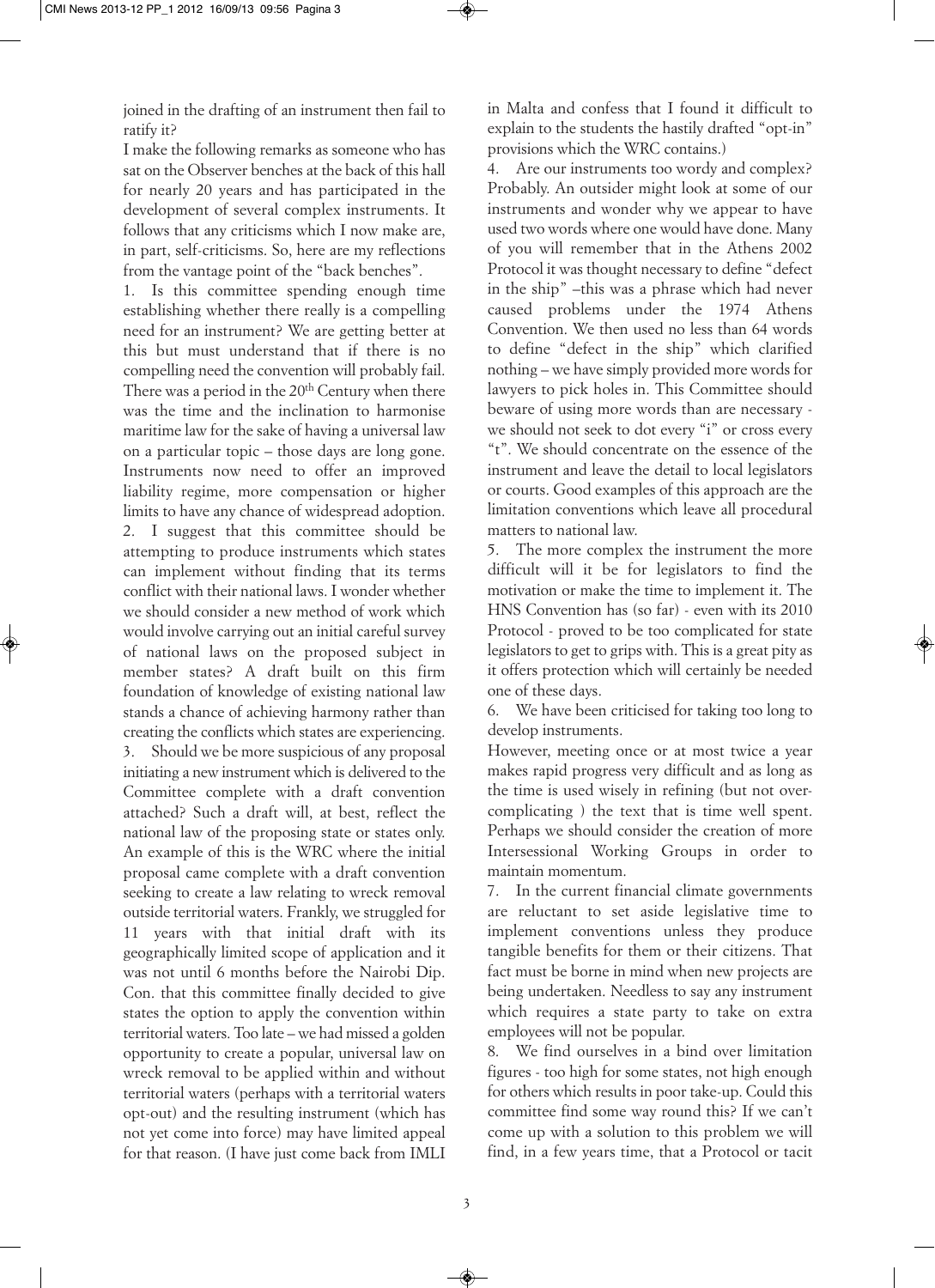joined in the drafting of an instrument then fail to ratify it?

I make the following remarks as someone who has sat on the Observer benches at the back of this hall for nearly 20 years and has participated in the development of several complex instruments. It follows that any criticisms which I now make are, in part, self-criticisms. So, here are my reflections from the vantage point of the "back benches".

1. Is this committee spending enough time establishing whether there really is a compelling need for an instrument? We are getting better at this but must understand that if there is no compelling need the convention will probably fail. There was a period in the  $20<sup>th</sup>$  Century when there was the time and the inclination to harmonise maritime law for the sake of having a universal law on a particular topic – those days are long gone. Instruments now need to offer an improved liability regime, more compensation or higher limits to have any chance of widespread adoption. 2. I suggest that this committee should be attempting to produce instruments which states can implement without finding that its terms conflict with their national laws. I wonder whether we should consider a new method of work which would involve carrying out an initial careful survey of national laws on the proposed subject in member states? A draft built on this firm foundation of knowledge of existing national law stands a chance of achieving harmony rather than creating the conflicts which states are experiencing.

3. Should we be more suspicious of any proposal initiating a new instrument which is delivered to the Committee complete with a draft convention attached? Such a draft will, at best, reflect the national law of the proposing state or states only. An example of this is the WRC where the initial proposal came complete with a draft convention seeking to create a law relating to wreck removal outside territorial waters. Frankly, we struggled for 11 years with that initial draft with its geographically limited scope of application and it was not until 6 months before the Nairobi Dip. Con. that this committee finally decided to give states the option to apply the convention within territorial waters. Too late – we had missed a golden opportunity to create a popular, universal law on wreck removal to be applied within and without territorial waters (perhaps with a territorial waters opt-out) and the resulting instrument (which has not yet come into force) may have limited appeal for that reason. (I have just come back from IMLI in Malta and confess that I found it difficult to explain to the students the hastily drafted "opt-in" provisions which the WRC contains.)

4. Are our instruments too wordy and complex? Probably. An outsider might look at some of our instruments and wonder why we appear to have used two words where one would have done. Many of you will remember that in the Athens 2002 Protocol it was thought necessary to define "defect in the ship" –this was a phrase which had never caused problems under the 1974 Athens Convention. We then used no less than 64 words to define "defect in the ship" which clarified nothing – we have simply provided more words for lawyers to pick holes in. This Committee should beware of using more words than are necessary we should not seek to dot every "i" or cross every "t". We should concentrate on the essence of the instrument and leave the detail to local legislators or courts. Good examples of this approach are the limitation conventions which leave all procedural matters to national law.

5. The more complex the instrument the more difficult will it be for legislators to find the motivation or make the time to implement it. The HNS Convention has (so far) - even with its 2010 Protocol - proved to be too complicated for state legislators to get to grips with. This is a great pity as it offers protection which will certainly be needed one of these days.

6. We have been criticised for taking too long to develop instruments.

However, meeting once or at most twice a year makes rapid progress very difficult and as long as the time is used wisely in refining (but not overcomplicating ) the text that is time well spent. Perhaps we should consider the creation of more Intersessional Working Groups in order to maintain momentum.

7. In the current financial climate governments are reluctant to set aside legislative time to implement conventions unless they produce tangible benefits for them or their citizens. That fact must be borne in mind when new projects are being undertaken. Needless to say any instrument which requires a state party to take on extra employees will not be popular.

8. We find ourselves in a bind over limitation figures - too high for some states, not high enough for others which results in poor take-up. Could this committee find some way round this? If we can't come up with a solution to this problem we will find, in a few years time, that a Protocol or tacit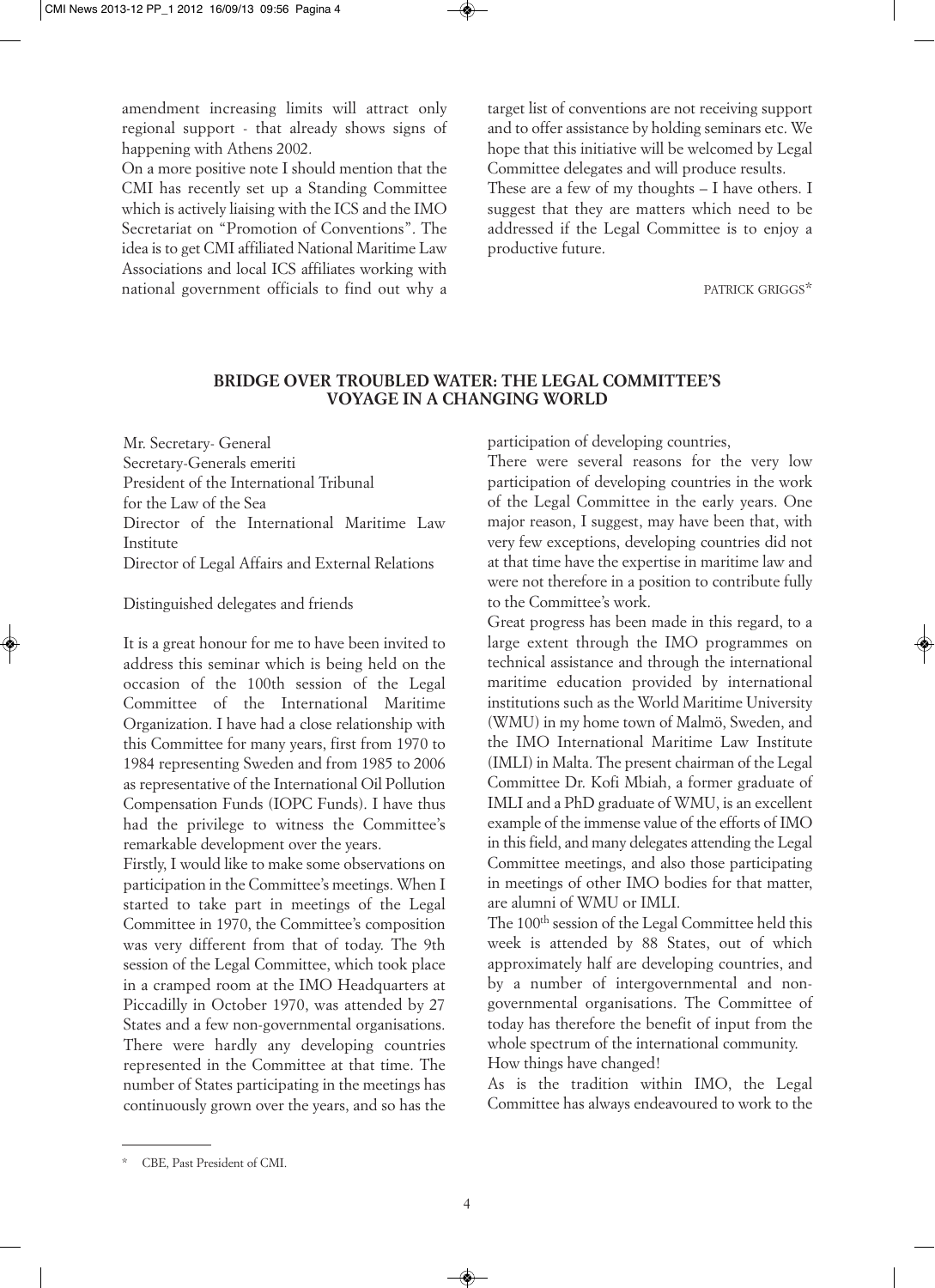amendment increasing limits will attract only regional support - that already shows signs of happening with Athens 2002.

On a more positive note I should mention that the CMI has recently set up a Standing Committee which is actively liaising with the ICS and the IMO Secretariat on "Promotion of Conventions". The idea is to get CMI affiliated National Maritime Law Associations and local ICS affiliates working with national government officials to find out why a target list of conventions are not receiving support and to offer assistance by holding seminars etc. We hope that this initiative will be welcomed by Legal Committee delegates and will produce results. These are a few of my thoughts – I have others. I suggest that they are matters which need to be addressed if the Legal Committee is to enjoy a productive future.

PATRICK GRIGGS\*

### **BRIDGE OVER TROUBLED WATER: THE LEGAL COMMITTEE'S VOYAGE IN A CHANGING WORLD**

Mr. Secretary- General Secretary-Generals emeriti President of the International Tribunal for the Law of the Sea Director of the International Maritime Law Institute Director of Legal Affairs and External Relations

#### Distinguished delegates and friends

It is a great honour for me to have been invited to address this seminar which is being held on the occasion of the 100th session of the Legal Committee of the International Maritime Organization. I have had a close relationship with this Committee for many years, first from 1970 to 1984 representing Sweden and from 1985 to 2006 as representative of the International Oil Pollution Compensation Funds (IOPC Funds). I have thus had the privilege to witness the Committee's remarkable development over the years.

Firstly, I would like to make some observations on participation in the Committee's meetings. When I started to take part in meetings of the Legal Committee in 1970, the Committee's composition was very different from that of today. The 9th session of the Legal Committee, which took place in a cramped room at the IMO Headquarters at Piccadilly in October 1970, was attended by 27 States and a few non-governmental organisations. There were hardly any developing countries represented in the Committee at that time. The number of States participating in the meetings has continuously grown over the years, and so has the participation of developing countries,

There were several reasons for the very low participation of developing countries in the work of the Legal Committee in the early years. One major reason, I suggest, may have been that, with very few exceptions, developing countries did not at that time have the expertise in maritime law and were not therefore in a position to contribute fully to the Committee's work.

Great progress has been made in this regard, to a large extent through the IMO programmes on technical assistance and through the international maritime education provided by international institutions such as the World Maritime University (WMU) in my home town of Malmö, Sweden, and the IMO International Maritime Law Institute (IMLI) in Malta. The present chairman of the Legal Committee Dr. Kofi Mbiah, a former graduate of IMLI and a PhD graduate of WMU, is an excellent example of the immense value of the efforts of IMO in this field, and many delegates attending the Legal Committee meetings, and also those participating in meetings of other IMO bodies for that matter, are alumni of WMU or IMLI.

The 100<sup>th</sup> session of the Legal Committee held this week is attended by 88 States, out of which approximately half are developing countries, and by a number of intergovernmental and nongovernmental organisations. The Committee of today has therefore the benefit of input from the whole spectrum of the international community. How things have changed!

As is the tradition within IMO, the Legal Committee has always endeavoured to work to the

CBE, Past President of CMI.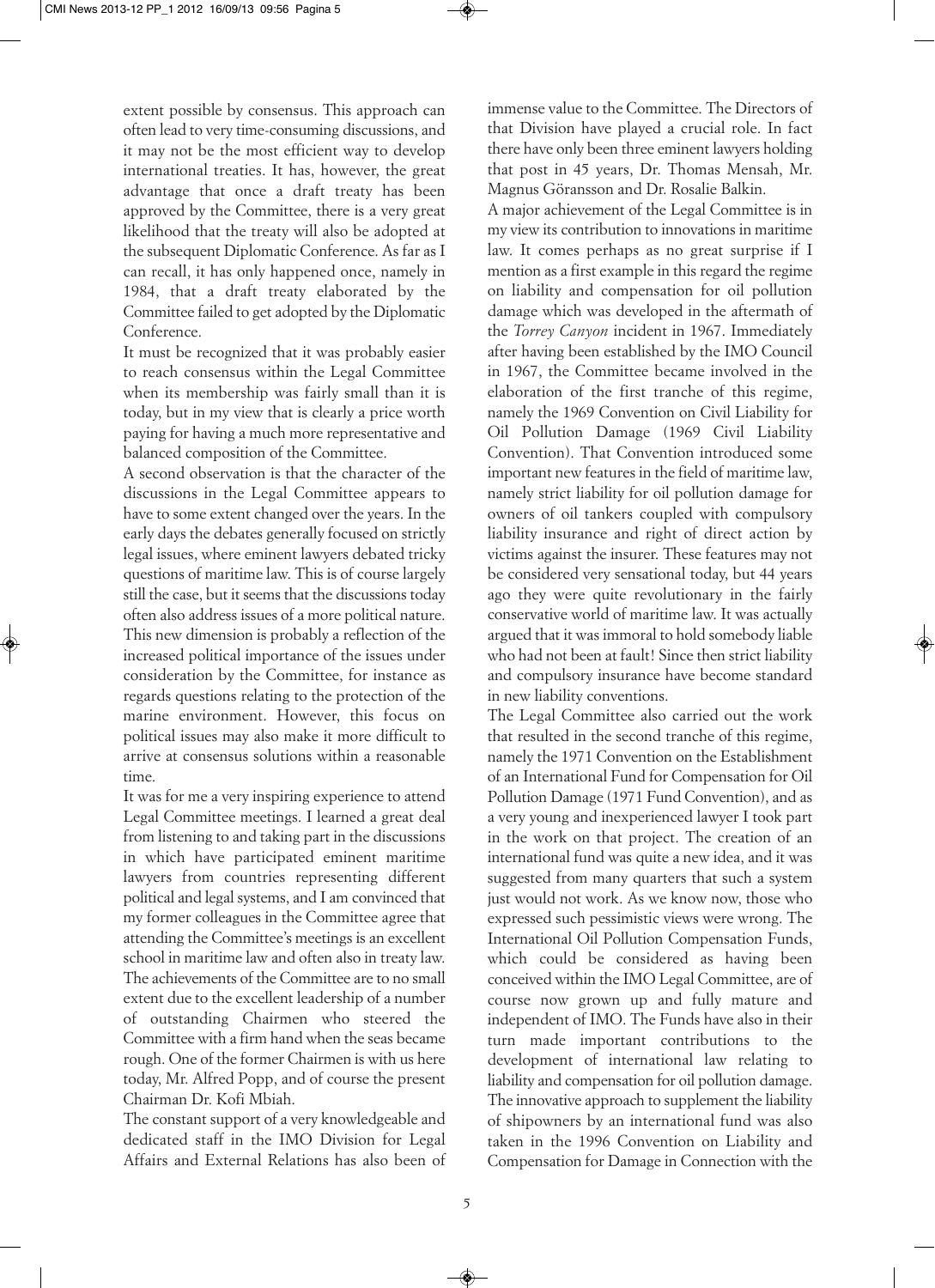extent possible by consensus. This approach can often lead to very time-consuming discussions, and it may not be the most efficient way to develop international treaties. It has, however, the great advantage that once a draft treaty has been approved by the Committee, there is a very great likelihood that the treaty will also be adopted at the subsequent Diplomatic Conference. As far as I can recall, it has only happened once, namely in 1984, that a draft treaty elaborated by the Committee failed to get adopted by the Diplomatic Conference.

It must be recognized that it was probably easier to reach consensus within the Legal Committee when its membership was fairly small than it is today, but in my view that is clearly a price worth paying for having a much more representative and balanced composition of the Committee.

A second observation is that the character of the discussions in the Legal Committee appears to have to some extent changed over the years. In the early days the debates generally focused on strictly legal issues, where eminent lawyers debated tricky questions of maritime law. This is of course largely still the case, but it seems that the discussions today often also address issues of a more political nature. This new dimension is probably a reflection of the increased political importance of the issues under consideration by the Committee, for instance as regards questions relating to the protection of the marine environment. However, this focus on political issues may also make it more difficult to arrive at consensus solutions within a reasonable time.

It was for me a very inspiring experience to attend Legal Committee meetings. I learned a great deal from listening to and taking part in the discussions in which have participated eminent maritime lawyers from countries representing different political and legal systems, and I am convinced that my former colleagues in the Committee agree that attending the Committee's meetings is an excellent school in maritime law and often also in treaty law. The achievements of the Committee are to no small extent due to the excellent leadership of a number of outstanding Chairmen who steered the Committee with a firm hand when the seas became rough. One of the former Chairmen is with us here today, Mr. Alfred Popp, and of course the present Chairman Dr. Kofi Mbiah.

The constant support of a very knowledgeable and dedicated staff in the IMO Division for Legal Affairs and External Relations has also been of immense value to the Committee. The Directors of that Division have played a crucial role. In fact there have only been three eminent lawyers holding that post in 45 years, Dr. Thomas Mensah, Mr. Magnus Göransson and Dr. Rosalie Balkin.

A major achievement of the Legal Committee is in my view its contribution to innovations in maritime law. It comes perhaps as no great surprise if I mention as a first example in this regard the regime on liability and compensation for oil pollution damage which was developed in the aftermath of the *Torrey Canyon* incident in 1967. Immediately after having been established by the IMO Council in 1967, the Committee became involved in the elaboration of the first tranche of this regime, namely the 1969 Convention on Civil Liability for Oil Pollution Damage (1969 Civil Liability Convention). That Convention introduced some important new features in the field of maritime law, namely strict liability for oil pollution damage for owners of oil tankers coupled with compulsory liability insurance and right of direct action by victims against the insurer. These features may not be considered very sensational today, but 44 years ago they were quite revolutionary in the fairly conservative world of maritime law. It was actually argued that it was immoral to hold somebody liable who had not been at fault! Since then strict liability and compulsory insurance have become standard in new liability conventions.

The Legal Committee also carried out the work that resulted in the second tranche of this regime, namely the 1971 Convention on the Establishment of an International Fund for Compensation for Oil Pollution Damage (1971 Fund Convention), and as a very young and inexperienced lawyer I took part in the work on that project. The creation of an international fund was quite a new idea, and it was suggested from many quarters that such a system just would not work. As we know now, those who expressed such pessimistic views were wrong. The International Oil Pollution Compensation Funds, which could be considered as having been conceived within the IMO Legal Committee, are of course now grown up and fully mature and independent of IMO. The Funds have also in their turn made important contributions to the development of international law relating to liability and compensation for oil pollution damage. The innovative approach to supplement the liability of shipowners by an international fund was also taken in the 1996 Convention on Liability and Compensation for Damage in Connection with the

5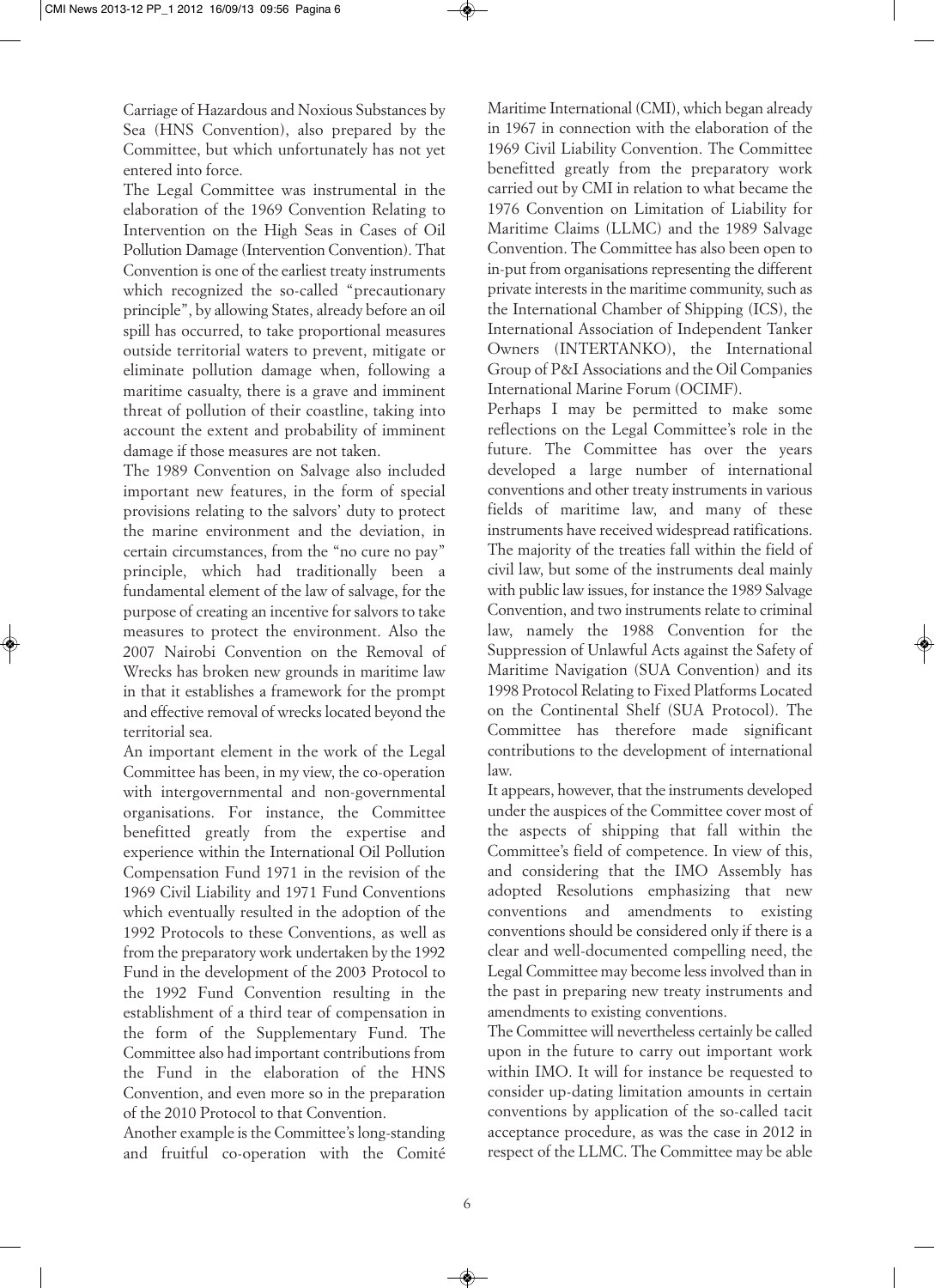Carriage of Hazardous and Noxious Substances by Sea (HNS Convention), also prepared by the Committee, but which unfortunately has not yet entered into force.

The Legal Committee was instrumental in the elaboration of the 1969 Convention Relating to Intervention on the High Seas in Cases of Oil Pollution Damage (Intervention Convention). That Convention is one of the earliest treaty instruments which recognized the so-called "precautionary principle", by allowing States, already before an oil spill has occurred, to take proportional measures outside territorial waters to prevent, mitigate or eliminate pollution damage when, following a maritime casualty, there is a grave and imminent threat of pollution of their coastline, taking into account the extent and probability of imminent damage if those measures are not taken.

The 1989 Convention on Salvage also included important new features, in the form of special provisions relating to the salvors' duty to protect the marine environment and the deviation, in certain circumstances, from the "no cure no pay" principle, which had traditionally been a fundamental element of the law of salvage, for the purpose of creating an incentive for salvors to take measures to protect the environment. Also the 2007 Nairobi Convention on the Removal of Wrecks has broken new grounds in maritime law in that it establishes a framework for the prompt and effective removal of wrecks located beyond the territorial sea.

An important element in the work of the Legal Committee has been, in my view, the co-operation with intergovernmental and non-governmental organisations. For instance, the Committee benefitted greatly from the expertise and experience within the International Oil Pollution Compensation Fund 1971 in the revision of the 1969 Civil Liability and 1971 Fund Conventions which eventually resulted in the adoption of the 1992 Protocols to these Conventions, as well as from the preparatory work undertaken by the 1992 Fund in the development of the 2003 Protocol to the 1992 Fund Convention resulting in the establishment of a third tear of compensation in the form of the Supplementary Fund. The Committee also had important contributions from the Fund in the elaboration of the HNS Convention, and even more so in the preparation of the 2010 Protocol to that Convention.

Another example is the Committee's long-standing and fruitful co-operation with the Comité Maritime International (CMI), which began already in 1967 in connection with the elaboration of the 1969 Civil Liability Convention. The Committee benefitted greatly from the preparatory work carried out by CMI in relation to what became the 1976 Convention on Limitation of Liability for Maritime Claims (LLMC) and the 1989 Salvage Convention. The Committee has also been open to in-put from organisations representing the different private interests in the maritime community, such as the International Chamber of Shipping (ICS), the International Association of Independent Tanker Owners (INTERTANKO), the International Group of P&I Associations and the Oil Companies International Marine Forum (OCIMF).

Perhaps I may be permitted to make some reflections on the Legal Committee's role in the future. The Committee has over the years developed a large number of international conventions and other treaty instruments in various fields of maritime law, and many of these instruments have received widespread ratifications. The majority of the treaties fall within the field of civil law, but some of the instruments deal mainly with public law issues, for instance the 1989 Salvage Convention, and two instruments relate to criminal law, namely the 1988 Convention for the Suppression of Unlawful Acts against the Safety of Maritime Navigation (SUA Convention) and its 1998 Protocol Relating to Fixed Platforms Located on the Continental Shelf (SUA Protocol). The Committee has therefore made significant contributions to the development of international law.

It appears, however, that the instruments developed under the auspices of the Committee cover most of the aspects of shipping that fall within the Committee's field of competence. In view of this, and considering that the IMO Assembly has adopted Resolutions emphasizing that new conventions and amendments to existing conventions should be considered only if there is a clear and well-documented compelling need, the Legal Committee may become less involved than in the past in preparing new treaty instruments and amendments to existing conventions.

The Committee will nevertheless certainly be called upon in the future to carry out important work within IMO. It will for instance be requested to consider up-dating limitation amounts in certain conventions by application of the so-called tacit acceptance procedure, as was the case in 2012 in respect of the LLMC. The Committee may be able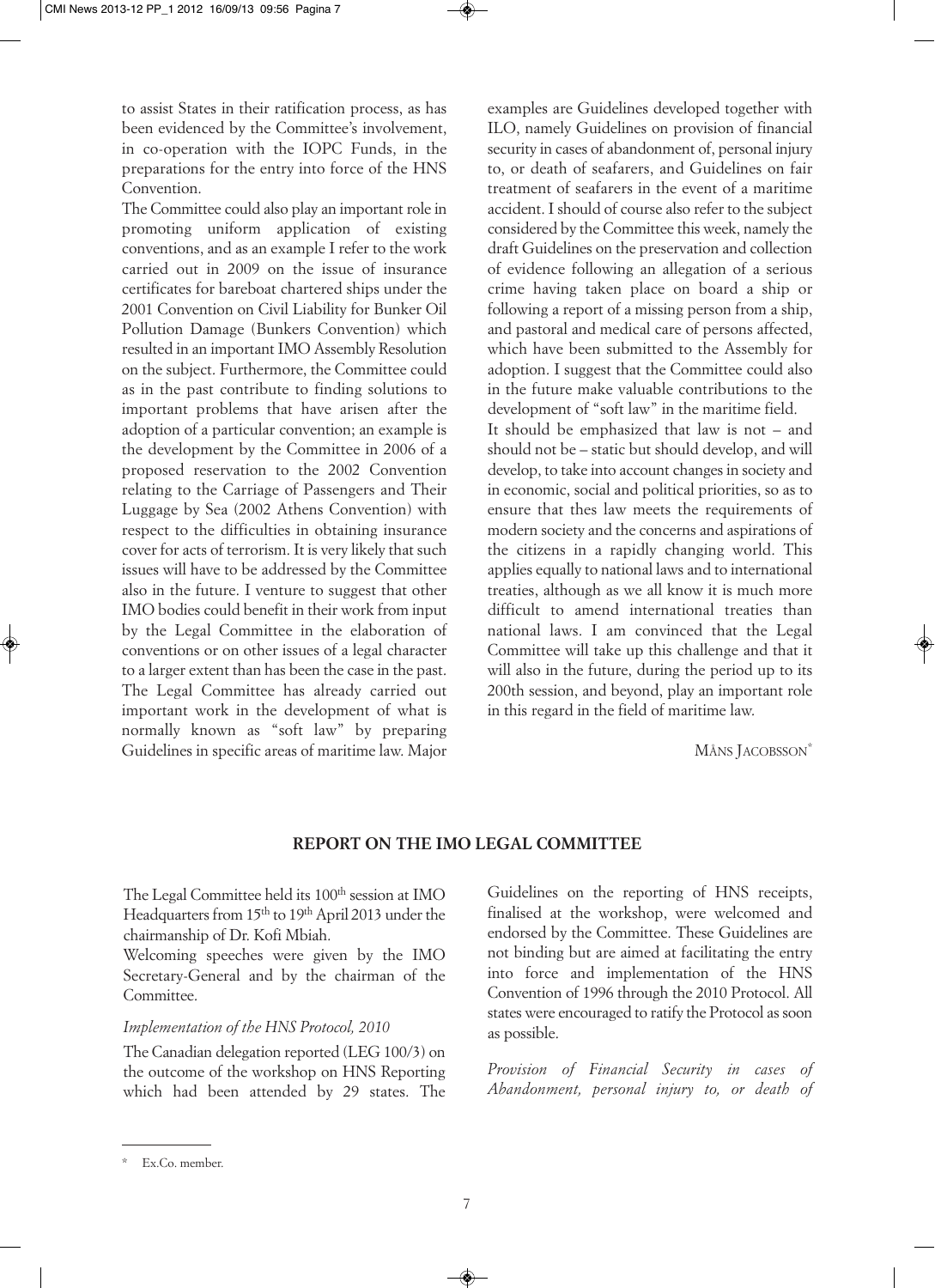to assist States in their ratification process, as has been evidenced by the Committee's involvement, in co-operation with the IOPC Funds, in the preparations for the entry into force of the HNS Convention.

The Committee could also play an important role in promoting uniform application of existing conventions, and as an example I refer to the work carried out in 2009 on the issue of insurance certificates for bareboat chartered ships under the 2001 Convention on Civil Liability for Bunker Oil Pollution Damage (Bunkers Convention) which resulted in an important IMO Assembly Resolution on the subject. Furthermore, the Committee could as in the past contribute to finding solutions to important problems that have arisen after the adoption of a particular convention; an example is the development by the Committee in 2006 of a proposed reservation to the 2002 Convention relating to the Carriage of Passengers and Their Luggage by Sea (2002 Athens Convention) with respect to the difficulties in obtaining insurance cover for acts of terrorism. It is very likely that such issues will have to be addressed by the Committee also in the future. I venture to suggest that other IMO bodies could benefit in their work from input by the Legal Committee in the elaboration of conventions or on other issues of a legal character to a larger extent than has been the case in the past. The Legal Committee has already carried out important work in the development of what is normally known as "soft law" by preparing Guidelines in specific areas of maritime law. Major

examples are Guidelines developed together with ILO, namely Guidelines on provision of financial security in cases of abandonment of, personal injury to, or death of seafarers, and Guidelines on fair treatment of seafarers in the event of a maritime accident. I should of course also refer to the subject considered by the Committee this week, namely the draft Guidelines on the preservation and collection of evidence following an allegation of a serious crime having taken place on board a ship or following a report of a missing person from a ship, and pastoral and medical care of persons affected, which have been submitted to the Assembly for adoption. I suggest that the Committee could also in the future make valuable contributions to the development of "soft law" in the maritime field. It should be emphasized that law is not – and should not be – static but should develop, and will develop, to take into account changes in society and in economic, social and political priorities, so as to ensure that thes law meets the requirements of modern society and the concerns and aspirations of the citizens in a rapidly changing world. This applies equally to national laws and to international treaties, although as we all know it is much more difficult to amend international treaties than national laws. I am convinced that the Legal Committee will take up this challenge and that it will also in the future, during the period up to its 200th session, and beyond, play an important role in this regard in the field of maritime law.

MÅNS JACOBSSON\*

#### **REPORT ON THE IMO LEGAL COMMITTEE**

The Legal Committee held its 100<sup>th</sup> session at IMO Headquarters from 15<sup>th</sup> to 19<sup>th</sup> April 2013 under the chairmanship of Dr. Kofi Mbiah.

Welcoming speeches were given by the IMO Secretary-General and by the chairman of the Committee.

#### *Implementation of the HNS Protocol, 2010*

The Canadian delegation reported (LEG 100/3) on the outcome of the workshop on HNS Reporting which had been attended by 29 states. The

Guidelines on the reporting of HNS receipts, finalised at the workshop, were welcomed and endorsed by the Committee. These Guidelines are not binding but are aimed at facilitating the entry into force and implementation of the HNS Convention of 1996 through the 2010 Protocol. All states were encouraged to ratify the Protocol as soon as possible.

*Provision of Financial Security in cases of Abandonment, personal injury to, or death of*

Ex.Co. member.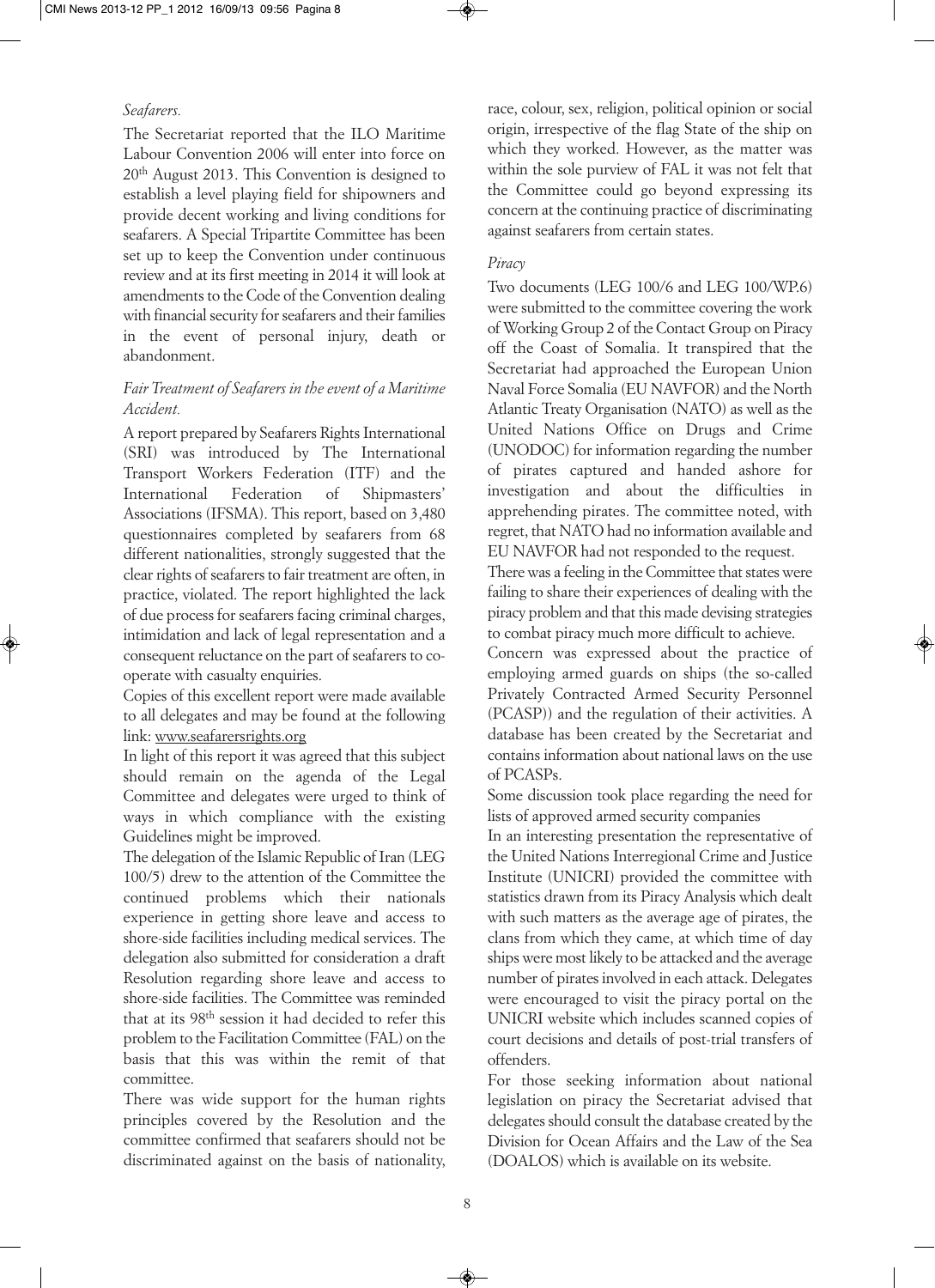#### *Seafarers.*

The Secretariat reported that the ILO Maritime Labour Convention 2006 will enter into force on 20th August 2013. This Convention is designed to establish a level playing field for shipowners and provide decent working and living conditions for seafarers. A Special Tripartite Committee has been set up to keep the Convention under continuous review and at its first meeting in 2014 it will look at amendments to the Code of the Convention dealing with financial security for seafarers and their families in the event of personal injury, death or abandonment.

## *Fair Treatment of Seafarers in the event of a Maritime Accident.*

A report prepared by Seafarers Rights International (SRI) was introduced by The International Transport Workers Federation (ITF) and the International Federation of Shipmasters' Associations (IFSMA). This report, based on 3,480 questionnaires completed by seafarers from 68 different nationalities, strongly suggested that the clear rights of seafarers to fair treatment are often, in practice, violated. The report highlighted the lack of due process for seafarers facing criminal charges, intimidation and lack of legal representation and a consequent reluctance on the part of seafarers to cooperate with casualty enquiries.

Copies of this excellent report were made available to all delegates and may be found at the following link: www.seafarersrights.org

In light of this report it was agreed that this subject should remain on the agenda of the Legal Committee and delegates were urged to think of ways in which compliance with the existing Guidelines might be improved.

The delegation of the Islamic Republic of Iran (LEG 100/5) drew to the attention of the Committee the continued problems which their nationals experience in getting shore leave and access to shore-side facilities including medical services. The delegation also submitted for consideration a draft Resolution regarding shore leave and access to shore-side facilities. The Committee was reminded that at its 98th session it had decided to refer this problem to the Facilitation Committee (FAL) on the basis that this was within the remit of that committee.

There was wide support for the human rights principles covered by the Resolution and the committee confirmed that seafarers should not be discriminated against on the basis of nationality,

race, colour, sex, religion, political opinion or social origin, irrespective of the flag State of the ship on which they worked. However, as the matter was within the sole purview of FAL it was not felt that the Committee could go beyond expressing its concern at the continuing practice of discriminating against seafarers from certain states.

#### *Piracy*

Two documents (LEG 100/6 and LEG 100/WP.6) were submitted to the committee covering the work of Working Group 2 of the Contact Group on Piracy off the Coast of Somalia. It transpired that the Secretariat had approached the European Union Naval Force Somalia (EU NAVFOR) and the North Atlantic Treaty Organisation (NATO) as well as the United Nations Office on Drugs and Crime (UNODOC) for information regarding the number of pirates captured and handed ashore for investigation and about the difficulties in apprehending pirates. The committee noted, with regret, that NATO had no information available and EU NAVFOR had not responded to the request.

There was a feeling in the Committee that states were failing to share their experiences of dealing with the piracy problem and that this made devising strategies to combat piracy much more difficult to achieve.

Concern was expressed about the practice of employing armed guards on ships (the so-called Privately Contracted Armed Security Personnel (PCASP)) and the regulation of their activities. A database has been created by the Secretariat and contains information about national laws on the use of PCASPs.

Some discussion took place regarding the need for lists of approved armed security companies

In an interesting presentation the representative of the United Nations Interregional Crime and Justice Institute (UNICRI) provided the committee with statistics drawn from its Piracy Analysis which dealt with such matters as the average age of pirates, the clans from which they came, at which time of day ships were most likely to be attacked and the average number of pirates involved in each attack. Delegates were encouraged to visit the piracy portal on the UNICRI website which includes scanned copies of court decisions and details of post-trial transfers of offenders.

For those seeking information about national legislation on piracy the Secretariat advised that delegates should consult the database created by the Division for Ocean Affairs and the Law of the Sea (DOALOS) which is available on its website.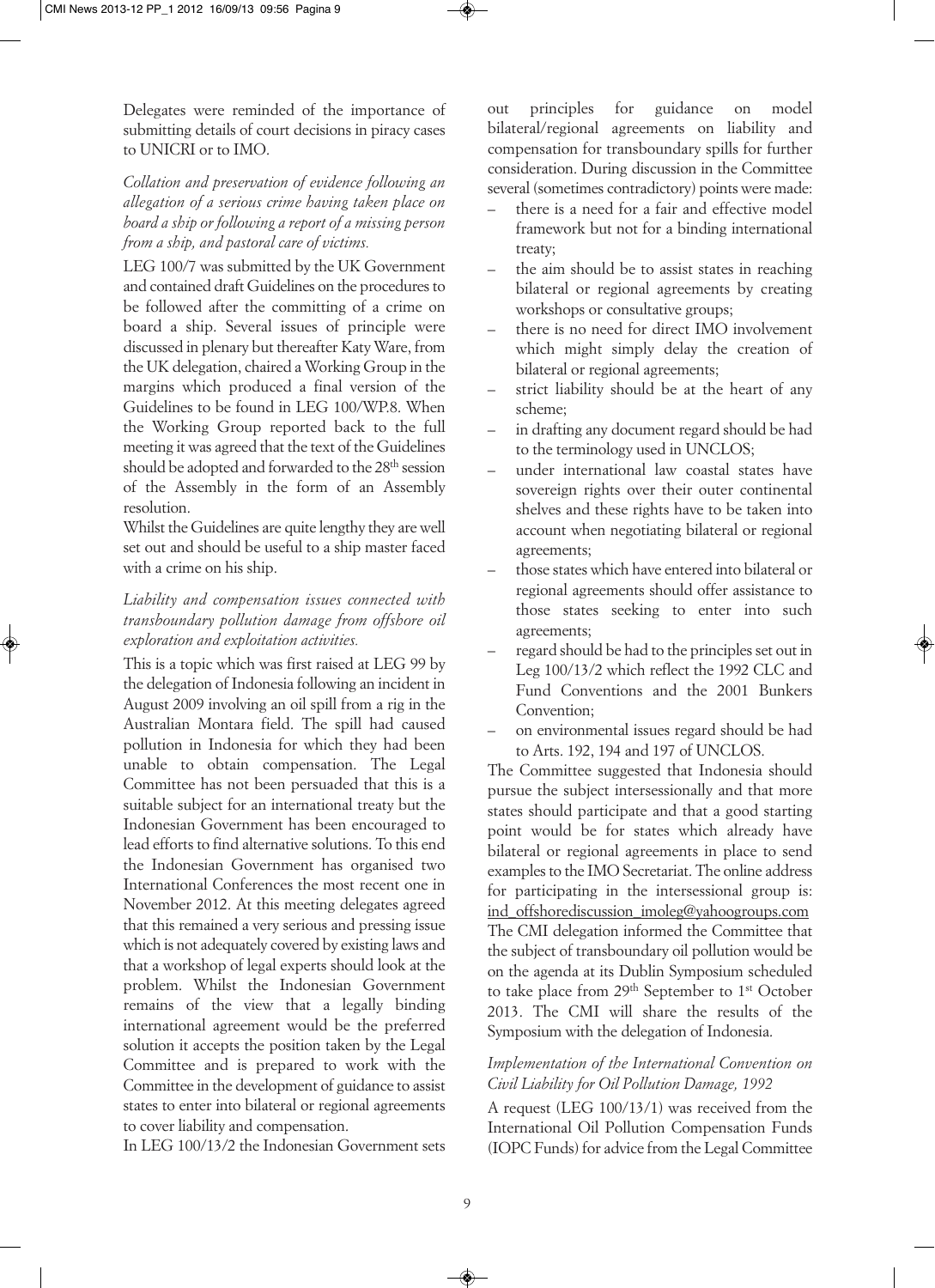Delegates were reminded of the importance of submitting details of court decisions in piracy cases to UNICRI or to IMO.

*Collation and preservation of evidence following an allegation of a serious crime having taken place on board a ship or following a report of a missing person from a ship, and pastoral care of victims.*

LEG 100/7 was submitted by the UK Government and contained draft Guidelines on the procedures to be followed after the committing of a crime on board a ship. Several issues of principle were discussed in plenary but thereafter Katy Ware, from the UK delegation, chaired a Working Group in the margins which produced a final version of the Guidelines to be found in LEG 100/WP.8. When the Working Group reported back to the full meeting it was agreed that the text of the Guidelines should be adopted and forwarded to the 28<sup>th</sup> session of the Assembly in the form of an Assembly resolution.

Whilst the Guidelines are quite lengthy they are well set out and should be useful to a ship master faced with a crime on his ship.

## *Liability and compensation issues connected with transboundary pollution damage from offshore oil exploration and exploitation activities.*

This is a topic which was first raised at LEG 99 by the delegation of Indonesia following an incident in August 2009 involving an oil spill from a rig in the Australian Montara field. The spill had caused pollution in Indonesia for which they had been unable to obtain compensation. The Legal Committee has not been persuaded that this is a suitable subject for an international treaty but the Indonesian Government has been encouraged to lead efforts to find alternative solutions. To this end the Indonesian Government has organised two International Conferences the most recent one in November 2012. At this meeting delegates agreed that this remained a very serious and pressing issue which is not adequately covered by existing laws and that a workshop of legal experts should look at the problem. Whilst the Indonesian Government remains of the view that a legally binding international agreement would be the preferred solution it accepts the position taken by the Legal Committee and is prepared to work with the Committee in the development of guidance to assist states to enter into bilateral or regional agreements to cover liability and compensation.

In LEG 100/13/2 the Indonesian Government sets

out principles for guidance on model bilateral/regional agreements on liability and compensation for transboundary spills for further consideration. During discussion in the Committee several (sometimes contradictory) points were made:

- there is a need for a fair and effective model framework but not for a binding international treaty;
- the aim should be to assist states in reaching bilateral or regional agreements by creating workshops or consultative groups;
- there is no need for direct IMO involvement which might simply delay the creation of bilateral or regional agreements;
- strict liability should be at the heart of any scheme;
- in drafting any document regard should be had to the terminology used in UNCLOS;
- under international law coastal states have sovereign rights over their outer continental shelves and these rights have to be taken into account when negotiating bilateral or regional agreements;
- those states which have entered into bilateral or regional agreements should offer assistance to those states seeking to enter into such agreements;
- regard should be had to the principles set out in Leg 100/13/2 which reflect the 1992 CLC and Fund Conventions and the 2001 Bunkers Convention;
- on environmental issues regard should be had to Arts. 192, 194 and 197 of UNCLOS.

The Committee suggested that Indonesia should pursue the subject intersessionally and that more states should participate and that a good starting point would be for states which already have bilateral or regional agreements in place to send examples to the IMO Secretariat. The online address for participating in the intersessional group is: ind\_offshorediscussion\_imoleg@yahoogroups.com The CMI delegation informed the Committee that the subject of transboundary oil pollution would be on the agenda at its Dublin Symposium scheduled to take place from 29<sup>th</sup> September to 1<sup>st</sup> October 2013. The CMI will share the results of the Symposium with the delegation of Indonesia.

## *Implementation of the International Convention on Civil Liability for Oil Pollution Damage, 1992*

A request (LEG 100/13/1) was received from the International Oil Pollution Compensation Funds (IOPC Funds) for advice from the Legal Committee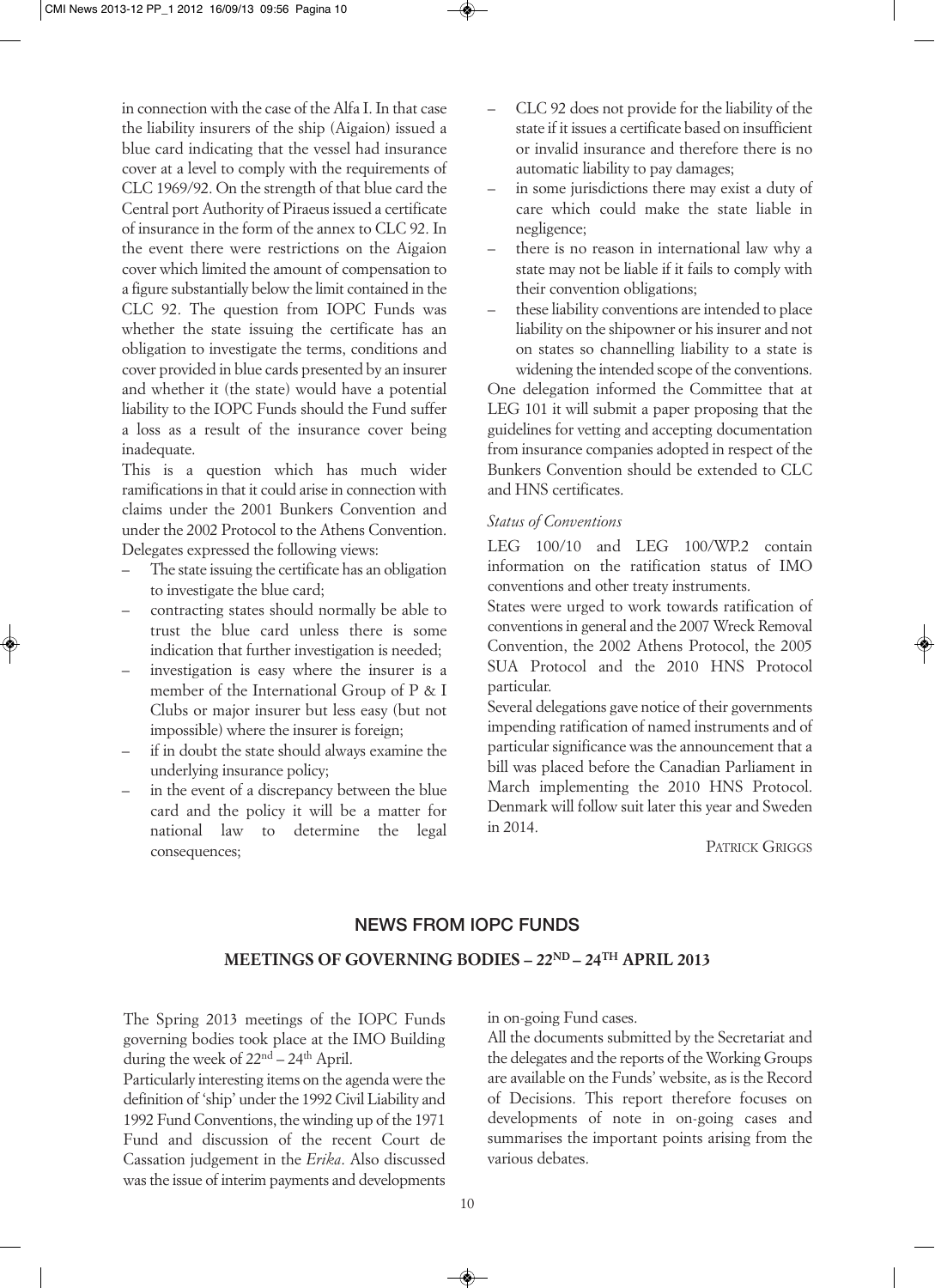in connection with the case of the Alfa I. In that case the liability insurers of the ship (Aigaion) issued a blue card indicating that the vessel had insurance cover at a level to comply with the requirements of CLC 1969/92. On the strength of that blue card the Central port Authority of Piraeus issued a certificate of insurance in the form of the annex to CLC 92. In the event there were restrictions on the Aigaion cover which limited the amount of compensation to a figure substantially below the limit contained in the CLC 92. The question from IOPC Funds was whether the state issuing the certificate has an obligation to investigate the terms, conditions and cover provided in blue cards presented by an insurer and whether it (the state) would have a potential liability to the IOPC Funds should the Fund suffer a loss as a result of the insurance cover being inadequate.

This is a question which has much wider ramifications in that it could arise in connection with claims under the 2001 Bunkers Convention and under the 2002 Protocol to the Athens Convention. Delegates expressed the following views:

- The state issuing the certificate has an obligation to investigate the blue card;
- contracting states should normally be able to trust the blue card unless there is some indication that further investigation is needed;
- investigation is easy where the insurer is a member of the International Group of P & I Clubs or major insurer but less easy (but not impossible) where the insurer is foreign;
- if in doubt the state should always examine the underlying insurance policy;
- in the event of a discrepancy between the blue card and the policy it will be a matter for national law to determine the legal consequences;
- CLC 92 does not provide for the liability of the state if it issues a certificate based on insufficient or invalid insurance and therefore there is no automatic liability to pay damages;
- in some jurisdictions there may exist a duty of care which could make the state liable in negligence;
- there is no reason in international law why a state may not be liable if it fails to comply with their convention obligations;
- these liability conventions are intended to place liability on the shipowner or his insurer and not on states so channelling liability to a state is widening the intended scope of the conventions.

One delegation informed the Committee that at LEG 101 it will submit a paper proposing that the guidelines for vetting and accepting documentation from insurance companies adopted in respect of the Bunkers Convention should be extended to CLC and HNS certificates.

#### *Status of Conventions*

LEG 100/10 and LEG 100/WP.2 contain information on the ratification status of IMO conventions and other treaty instruments.

States were urged to work towards ratification of conventions in general and the 2007 Wreck Removal Convention, the 2002 Athens Protocol, the 2005 SUA Protocol and the 2010 HNS Protocol particular.

Several delegations gave notice of their governments impending ratification of named instruments and of particular significance was the announcement that a bill was placed before the Canadian Parliament in March implementing the 2010 HNS Protocol. Denmark will follow suit later this year and Sweden in 2014.

PATRICK GRIGGS

#### **NEWS FROM IOPC FUNDS**

#### **MEETINGS OF GOVERNING BODIES – 22ND – 24TH APRIL 2013**

The Spring 2013 meetings of the IOPC Funds governing bodies took place at the IMO Building during the week of  $22<sup>nd</sup> - 24<sup>th</sup>$  April.

Particularly interesting items on the agenda were the definition of 'ship' under the 1992 Civil Liability and 1992 Fund Conventions, the winding up of the 1971 Fund and discussion of the recent Court de Cassation judgement in the *Erika*. Also discussed wasthe issue of interim payments and developments in on-going Fund cases.

All the documents submitted by the Secretariat and the delegates and the reports of the Working Groups are available on the Funds' website, as is the Record of Decisions. This report therefore focuses on developments of note in on-going cases and summarises the important points arising from the various debates.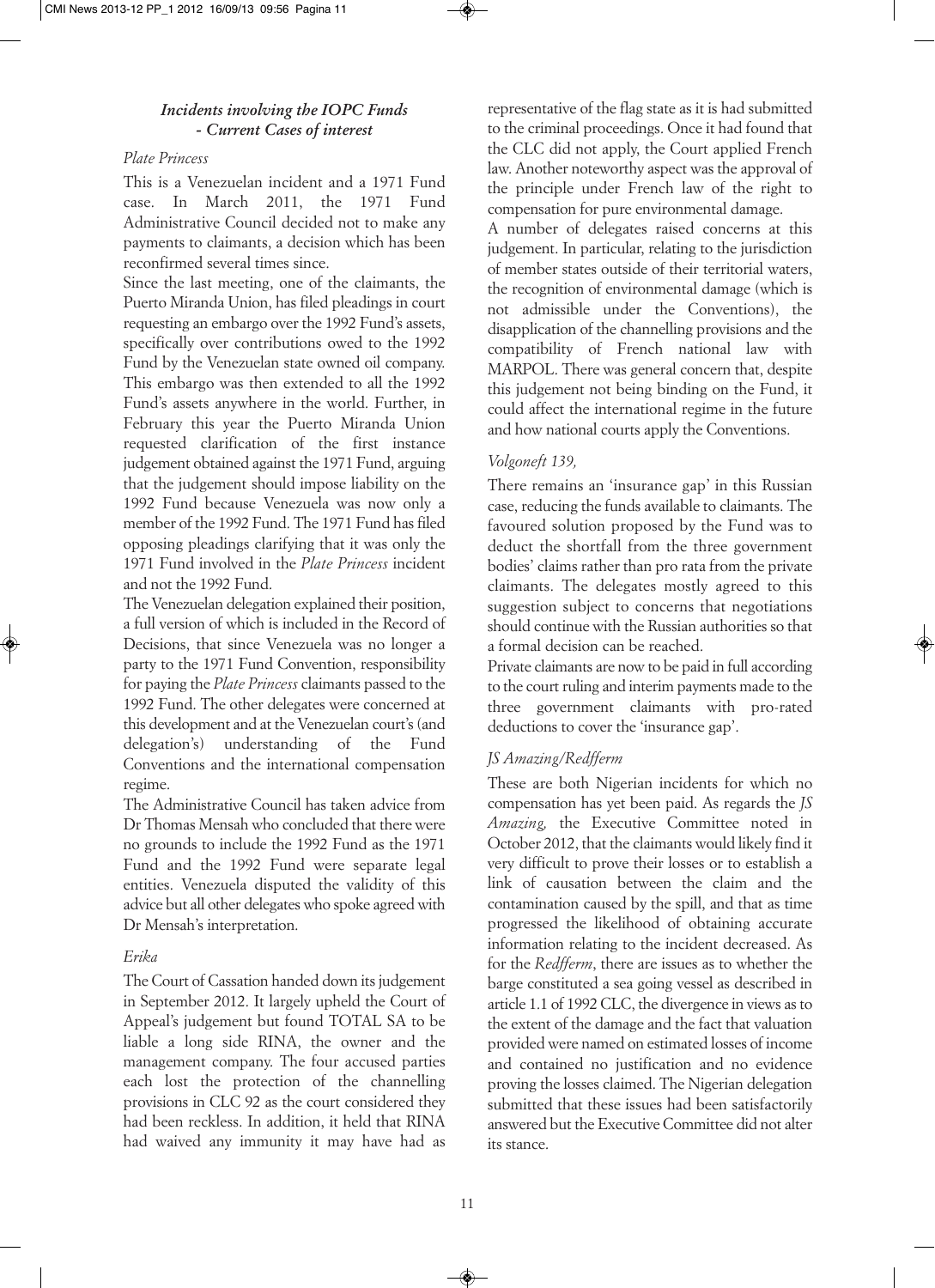## *Incidents involving the IOPC Funds - Current Cases of interest*

#### *Plate Princess*

This is a Venezuelan incident and a 1971 Fund case. In March 2011, the 1971 Fund Administrative Council decided not to make any payments to claimants, a decision which has been reconfirmed several times since.

Since the last meeting, one of the claimants, the Puerto Miranda Union, has filed pleadings in court requesting an embargo over the 1992 Fund's assets, specifically over contributions owed to the 1992 Fund by the Venezuelan state owned oil company. This embargo was then extended to all the 1992 Fund's assets anywhere in the world. Further, in February this year the Puerto Miranda Union requested clarification of the first instance judgement obtained against the 1971 Fund, arguing that the judgement should impose liability on the 1992 Fund because Venezuela was now only a member of the 1992 Fund. The 1971 Fund has filed opposing pleadings clarifying that it was only the 1971 Fund involved in the *Plate Princess* incident and not the 1992 Fund.

The Venezuelan delegation explained their position, a full version of which is included in the Record of Decisions, that since Venezuela was no longer a party to the 1971 Fund Convention, responsibility for paying the *Plate Princess* claimants passed to the 1992 Fund. The other delegates were concerned at this development and at the Venezuelan court's (and delegation's) understanding of the Fund Conventions and the international compensation regime.

The Administrative Council has taken advice from Dr Thomas Mensah who concluded that there were no grounds to include the 1992 Fund as the 1971 Fund and the 1992 Fund were separate legal entities. Venezuela disputed the validity of this advice but all other delegates who spoke agreed with Dr Mensah's interpretation.

#### *Erika*

The Court of Cassation handed down its judgement in September 2012. It largely upheld the Court of Appeal's judgement but found TOTAL SA to be liable a long side RINA, the owner and the management company. The four accused parties each lost the protection of the channelling provisions in CLC 92 as the court considered they had been reckless. In addition, it held that RINA had waived any immunity it may have had as

representative of the flag state as it is had submitted to the criminal proceedings. Once it had found that the CLC did not apply, the Court applied French law. Another noteworthy aspect was the approval of the principle under French law of the right to compensation for pure environmental damage.

A number of delegates raised concerns at this judgement. In particular, relating to the jurisdiction of member states outside of their territorial waters, the recognition of environmental damage (which is not admissible under the Conventions), the disapplication of the channelling provisions and the compatibility of French national law with MARPOL. There was general concern that, despite this judgement not being binding on the Fund, it could affect the international regime in the future and how national courts apply the Conventions.

#### *Volgoneft 139,*

There remains an 'insurance gap' in this Russian case, reducing the funds available to claimants. The favoured solution proposed by the Fund was to deduct the shortfall from the three government bodies' claims rather than pro rata from the private claimants. The delegates mostly agreed to this suggestion subject to concerns that negotiations should continue with the Russian authorities so that a formal decision can be reached.

Private claimants are now to be paid in full according to the court ruling and interim payments made to the three government claimants with pro-rated deductions to cover the 'insurance gap'.

#### *JS Amazing/Redfferm*

These are both Nigerian incidents for which no compensation has yet been paid. As regards the *JS Amazing,* the Executive Committee noted in October 2012, that the claimants would likely find it very difficult to prove their losses or to establish a link of causation between the claim and the contamination caused by the spill, and that as time progressed the likelihood of obtaining accurate information relating to the incident decreased. As for the *Redfferm*, there are issues as to whether the barge constituted a sea going vessel as described in article 1.1 of 1992 CLC, the divergence in views as to the extent of the damage and the fact that valuation provided were named on estimated losses of income and contained no justification and no evidence proving the losses claimed. The Nigerian delegation submitted that these issues had been satisfactorily answered but the Executive Committee did not alter its stance.